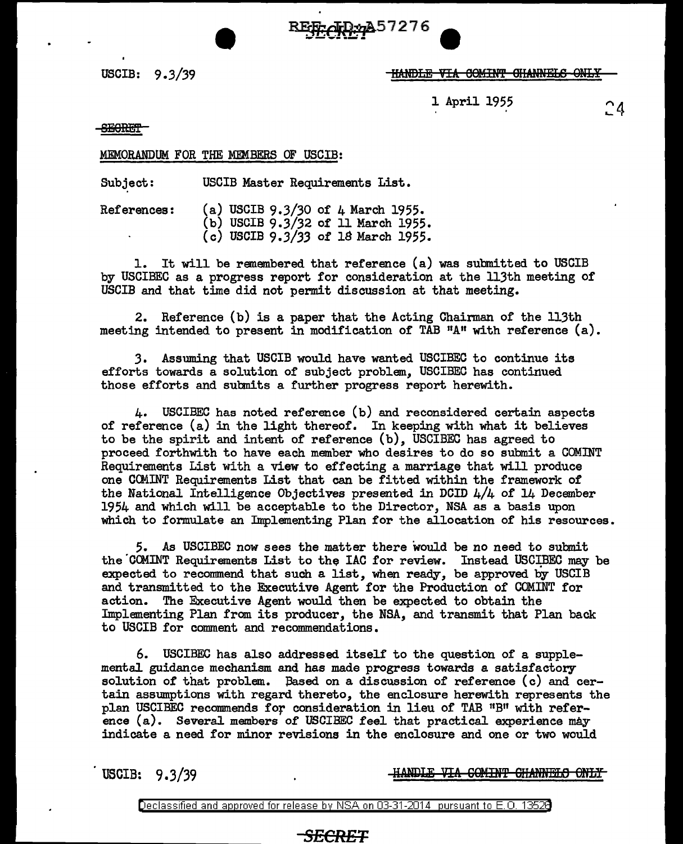USCIB: 9 *.3/39* HA-Nf>frl!l VIA 00Milft' 8HANNEEB ONJ:.¥

1 April 1955

 $24$ 

SECRET

## MEMORANDUM FOR THE MEMBERS OF USCIB:

Subject: USCIB Master Requirements List.

References: (a) USCIB 9.3/30 of 4 March 1955. (b) USCIB 9.3/32 of 11 March 1955. (c) USCIB *9.3/33* of 18 March 1955.

1. It will be remembered that reference (a) was submitted to USCIB by USCIBEC as a progress report for consideration at the 113th meeting of USCIB and that time did not permit discussion at that meeting.

**e BFSEcTR**\*7276

2. Reference (b) is a paper that the Acting Chairman of the 113th meeting intended to present in modification of TAB  $"A"$  with reference  $(a)$ .

3. Assuming that USCIB would have wanted USCIBEC to continue its efforts towards a solution of subject problem, USCIBEC has continued those efforts and submits a further progress report herewith.

4. USCIBEC has noted reference (b) and reconsidered certain aspects of reference (a) in the light thereof. In keeping with what it believes to be the spirit and intent of reference (b), USCIBEC has agreed to proceed forthwith to have each member who desires to do so submit a COMINT Requirements List with a view to effecting a marriage that will produce one COMINT Requirements List that can be fitted within the framework of the National Intelligence Objectives presented in DCID  $4/4$  of 14 December 1954 and which will be acceptable to the Director, NSA as a basis upon which to formulate an Implementing Plan for the allocation of his resources.

5. As USCIBEC now sees the matter there would be no need to submit the COMINT Requirements List to the IAC for review. Instead USCIBEC may be expected to recommend that such a list, when ready, be approved by USCIB and transmitted to the Executive Agent for the Production of COMINT for action. The Executive Agent would then be expected to obtain the Implementing Plan from its producer, the NSA, and transmit that Plan back to USCIB for comment and recommendations.

6. USCIBEC has also addressed itself to the question of a supplemental guidance mechanism and has made progress towards a satisfactory solution of that problem. Based on a discussion of reference (c) and certain assumptions with regard thereto, the enclosure herewith represents the plan USCIBEC recommends for consideration in lieu of TAB "B" with reference (a). Several members of USCIBEC feel that practical experience may indicate a need for minor revisions in the enclosure and one or two would

USCIB: 9.3/39

HANDLE VIA COMINT CHANNELS ONLY

Declassified and approved for release by NSA on 03-31-2014 pursuant to E. 0. 1352B

# *SECRET*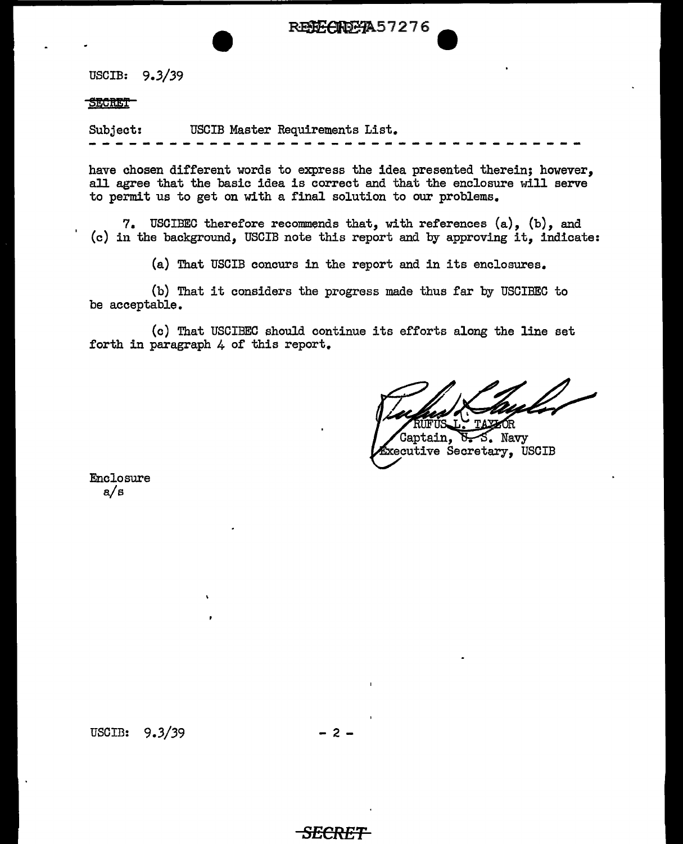REECHD AA 57276

USCIB: *9.3/39* 

#### SECRET<sub>1</sub>

Subject: USCIB Master Requirements List.

have chosen different words to express the idea presented therein; however, all agree that the basic idea is correct and that the enclosure will serve to permit us to get on with a final solution to our problems.

7. USCIBEC therefore recommends that, with references (a), (b), and (c) in the background, USCIB note this report and by approving it, indicate:

(a) That USCIB concurs in the report and in its enclosures.

(b) That it considers the progress made thus far by USCIBEC to be acceptable.

(c) That USCIBEC should continue its efforts along the line set forth in paragraph 4 of this report.

RITFITR

Captain,  $\overline{b}$  S. Navy **Executive Secretary, USCIB** 

Enclosure a/s

USCIB:  $9.3/39$  - 2 -

*SECRE*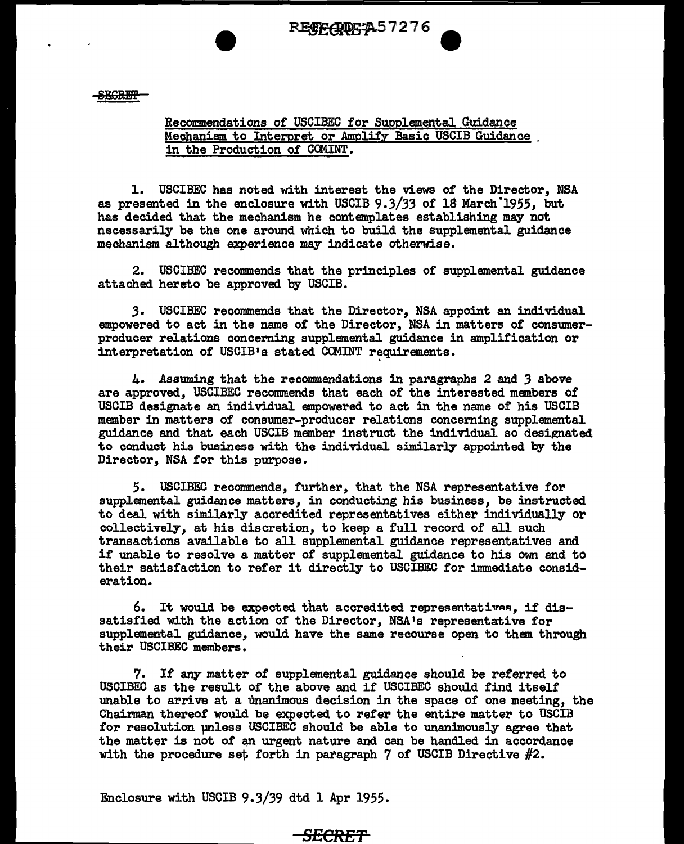**SEGRET** 

### Recomnendations of USCIBEC for Supplemental Guidance Mechanism to Interpret or Amplify Basic USCIB Guidance in the Production of COMINT.

1. USCIBEC has noted with interest the views of the Director, NSA as presented in the enclosure with USCIB *9.3/33* of 18 March.1955, but has decided that the mechanism he contemplates establishing may not necessarily be the one around which to build the supplemental guidance mechanism although experience may indicate otherwise.

2. USCIBEC recommends that the principles of supplemental guidance attached hereto be approved by USCIB.

*3.* USCIBEC recommends that the Director, NSA appoint an individual empowered to act in the name of the Director, NSA in matters of consumerproducer relations concerning supplemental guidance in amplification or interpretation of USCIB's stated COMINT requirements.

4. Assuming that the reconnnendations in paragraphs 2 and *3* above are approved, USCIBEC recommends that each of the interested members of USCIB designate an individual empowered to act in the name of his USCIB member in matters of consumer-producer relations concerning supplemental guidance and that each USCIB member instruct the individual so designated to conduct his business with the individual similarly appointed by the Director, NSA for this purpose.

5. USCIBEC recommends, further, that the NSA representative for supplemental guidance matters, in conducting his business, be instructed to deal with similarly accredited representatives either individually or collectively, at his discretion, to keep a full record of all such transactions available to all supplemental guidance representatives and if unable to resolve a matter of supplemental guidance to his own and to their satisfaction to refer it directly to USCIBEC for immediate consideration.

6. It would be expected that accredited representatives. if dissatisfied with the action of the Director, NSA's representative for supplemental guidance, would have the same recourse open to them through their USCIBEC members.

7. If any matter of supplemental guidance should be referred to USCIBEC as the result of the above and if USCIBEC should find itself unable to arrive at a unanimous decision in the space of one meeting, the Chairman thereof would be expected to refer the entire matter to USCIB for resolution µnless USCIBEC should be able to unanimously agree that the matter is not of an urgent nature and can be handled in accordance with the procedure set forth in paragraph 7 of USCIB Directive  $#2$ .

Enclosure with USCIB 9.3/39 dtd 1 Apr 1955.

## <del>SECRET</del>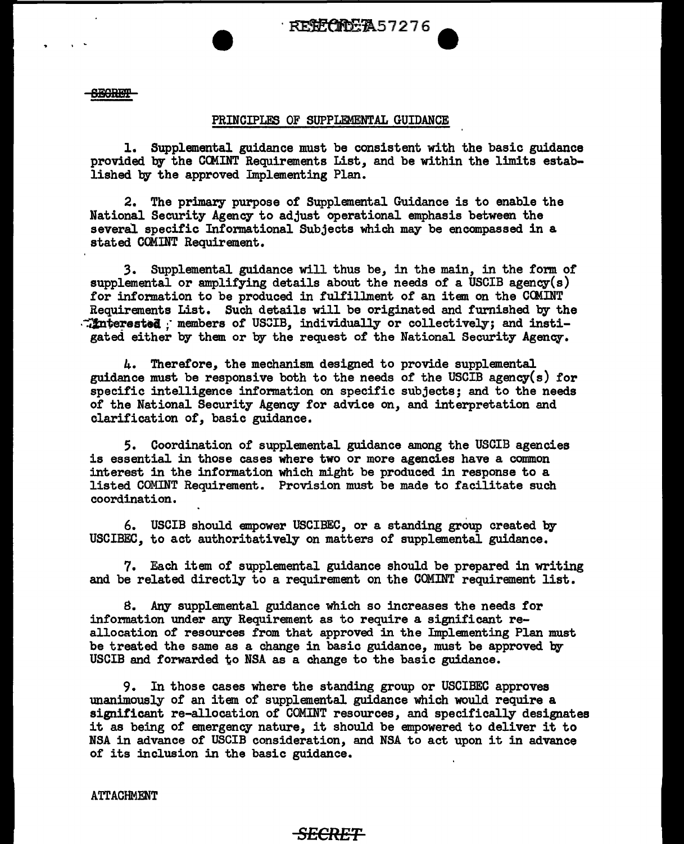REECTER57276

**SEGRET** 

. .

#### PRINCIPLES OF SUPPLEMENTAL GUIDANCE

1. Supplemental guidance must be consistent with the basic guidance provided by the CCMINT Requirements List, and be within the limits established by the approved Implementing Plan.

2. The primary purpose or Supplemental Guidance is to enable the National Security Agency to adjust operational emphasis between the several specific Informational Subjects which may be encompassed in a stated COMINT Requirement.

3. Supplemental guidance will thus be, in the main, in the form of supplemental or amplifying details about the needs of a USCIB agency(s) for information to be produced in fulfillment of an item on the CCMINT Requirements List. Such details will be originated and furnished by the :interested : members of USCIB, individually or collectively; and instigated either by them or by the request of the National Security Agency.

4. Therefore, the mechanism designed to provide supplemental guidance must be responsive both to the needs of' the USCIB agency(s) for specific intelligence information on specific subjects; and to the needs or the National Security Agency for advice on, and interpretation and clarification of, basic guidance.

5. Coordination of' supplemental guidance among the USCIB agencies is essential in those cases where two or more agencies have a common interest in the information which might be produced in response to a listed COMINT Requirement. Provision must be made to facilitate such coordination.

6. USCIB should empower USCIBEC, or a standing group created by USCIBEC, to act authoritatively on matters of' supplemental guidance.

7. Each item of supplemental guidance should be prepared in writing and be related directly to a requirement on the COMINT requirement list.

8. Any supplemental guidance which so increases the needs for information under any Requirement as to require a significant reallocation of resources from that approved in the Implementing Plan must be treated the same as a change in basic guidance, must be approved by USCIB and forwarded to NSA as a change to the basic guidance.

9. In those cases where the standing group or USCIBEC approves unanimously of an item of supplemental guidance which would require a significant re-allocation of' COMINT resources, and specifically designates it as being of emergency nature, it should be empowered to deliver it to NSA in advance of USCIB consideration, and NSA to act upon it in advance or its inclusion in the basic guidance.

**ATTACHMENT** 

### *SECRET*